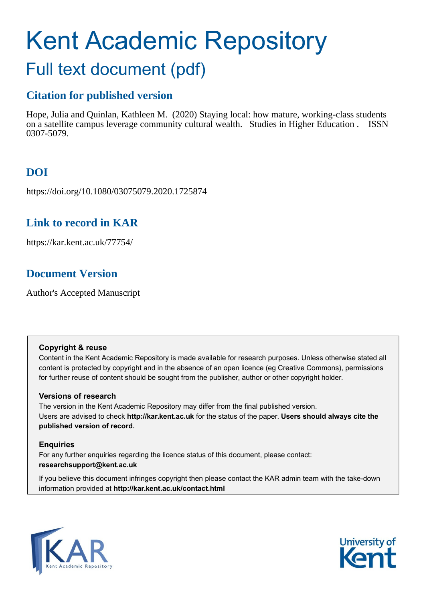# Kent Academic Repository

## Full text document (pdf)

## **Citation for published version**

Hope, Julia and Quinlan, Kathleen M. (2020) Staying local: how mature, working-class students on a satellite campus leverage community cultural wealth. Studies in Higher Education . ISSN 0307-5079.

## **DOI**

https://doi.org/10.1080/03075079.2020.1725874

## **Link to record in KAR**

https://kar.kent.ac.uk/77754/

## **Document Version**

Author's Accepted Manuscript

#### **Copyright & reuse**

Content in the Kent Academic Repository is made available for research purposes. Unless otherwise stated all content is protected by copyright and in the absence of an open licence (eg Creative Commons), permissions for further reuse of content should be sought from the publisher, author or other copyright holder.

#### **Versions of research**

The version in the Kent Academic Repository may differ from the final published version. Users are advised to check **http://kar.kent.ac.uk** for the status of the paper. **Users should always cite the published version of record.**

#### **Enquiries**

For any further enquiries regarding the licence status of this document, please contact: **researchsupport@kent.ac.uk**

If you believe this document infringes copyright then please contact the KAR admin team with the take-down information provided at **http://kar.kent.ac.uk/contact.html**



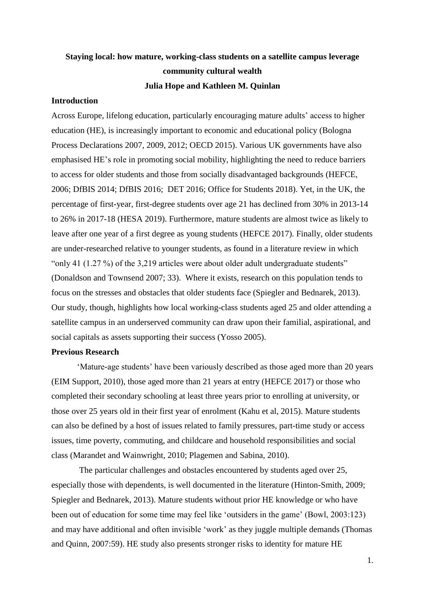### **Staying local: how mature, working-class students on a satellite campus leverage community cultural wealth Julia Hope and Kathleen M. Quinlan**

#### **Introduction**

Across Europe, lifelong education, particularly encouraging mature adults' access to higher education (HE), is increasingly important to economic and educational policy (Bologna Process Declarations 2007, 2009, 2012; OECD 2015). Various UK governments have also emphasised HE's role in promoting social mobility, highlighting the need to reduce barriers to access for older students and those from socially disadvantaged backgrounds (HEFCE, 2006; DfBIS 2014; DfBIS 2016; DET 2016; Office for Students 2018). Yet, in the UK, the percentage of first-year, first-degree students over age 21 has declined from 30% in 2013-14 to 26% in 2017-18 (HESA 2019). Furthermore, mature students are almost twice as likely to leave after one year of a first degree as young students (HEFCE 2017). Finally, older students are under-researched relative to younger students, as found in a literature review in which "only 41 (1.27 %) of the 3,219 articles were about older adult undergraduate students" (Donaldson and Townsend 2007; 33). Where it exists, research on this population tends to focus on the stresses and obstacles that older students face (Spiegler and Bednarek, 2013). Our study, though, highlights how local working-class students aged 25 and older attending a satellite campus in an underserved community can draw upon their familial, aspirational, and social capitals as assets supporting their success (Yosso 2005).

#### **Previous Research**

'Mature-age students' have been variously described as those aged more than 20 years (EIM Support, 2010), those aged more than 21 years at entry (HEFCE 2017) or those who completed their secondary schooling at least three years prior to enrolling at university, or those over 25 years old in their first year of enrolment (Kahu et al, 2015). Mature students can also be defined by a host of issues related to family pressures, part-time study or access issues, time poverty, commuting, and childcare and household responsibilities and social class (Marandet and Wainwright, 2010; Plagemen and Sabina, 2010).

The particular challenges and obstacles encountered by students aged over 25, especially those with dependents, is well documented in the literature (Hinton-Smith, 2009; Spiegler and Bednarek, 2013). Mature students without prior HE knowledge or who have been out of education for some time may feel like 'outsiders in the game' (Bowl, 2003:123) and may have additional and often invisible 'work' as they juggle multiple demands (Thomas and Quinn, 2007:59). HE study also presents stronger risks to identity for mature HE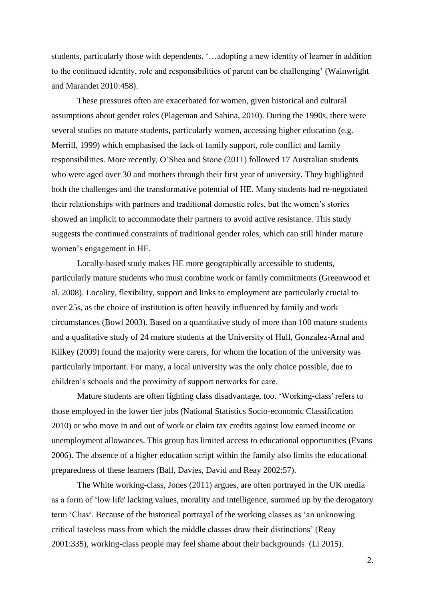students, particularly those with dependents, '…adopting a new identity of learner in addition to the continued identity, role and responsibilities of parent can be challenging' (Wainwright and Marandet 2010:458).

These pressures often are exacerbated for women, given historical and cultural assumptions about gender roles (Plageman and Sabina, 2010). During the 1990s, there were several studies on mature students, particularly women, accessing higher education (e.g. Merrill, 1999) which emphasised the lack of family support, role conflict and family responsibilities. More recently, O'Shea and Stone (2011) followed 17 Australian students who were aged over 30 and mothers through their first year of university. They highlighted both the challenges and the transformative potential of HE. Many students had re-negotiated their relationships with partners and traditional domestic roles, but the women's stories showed an implicit to accommodate their partners to avoid active resistance. This study suggests the continued constraints of traditional gender roles, which can still hinder mature women's engagement in HE.

Locally-based study makes HE more geographically accessible to students, particularly mature students who must combine work or family commitments (Greenwood et al. 2008). Locality, flexibility, support and links to employment are particularly crucial to over 25s, as the choice of institution is often heavily influenced by family and work circumstances (Bowl 2003). Based on a quantitative study of more than 100 mature students and a qualitative study of 24 mature students at the University of Hull, Gonzalez-Arnal and Kilkey (2009) found the majority were carers, for whom the location of the university was particularly important. For many, a local university was the only choice possible, due to children's schools and the proximity of support networks for care.

Mature students are often fighting class disadvantage, too. 'Working-class' refers to those employed in the lower tier jobs (National Statistics Socio-economic Classification 2010) or who move in and out of work or claim tax credits against low earned income or unemployment allowances. This group has limited access to educational opportunities (Evans 2006). The absence of a higher education script within the family also limits the educational preparedness of these learners (Ball, Davies, David and Reay 2002:57).

The White working-class, Jones (2011) argues, are often portrayed in the UK media as a form of 'low life' lacking values, morality and intelligence, summed up by the derogatory term 'Chav'. Because of the historical portrayal of the working classes as 'an unknowing critical tasteless mass from which the middle classes draw their distinctions' (Reay 2001:335), working-class people may feel shame about their backgrounds (Li 2015).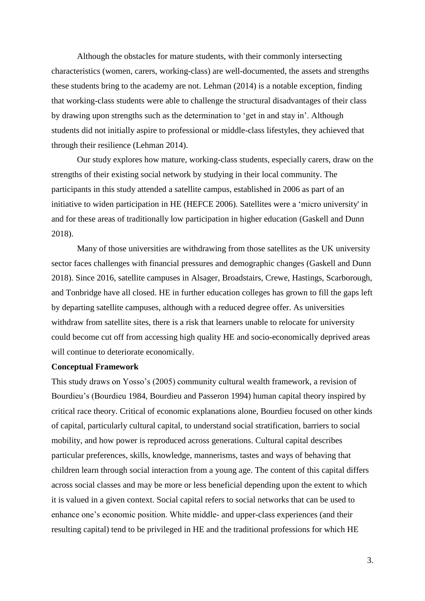Although the obstacles for mature students, with their commonly intersecting characteristics (women, carers, working-class) are well-documented, the assets and strengths these students bring to the academy are not. Lehman (2014) is a notable exception, finding that working-class students were able to challenge the structural disadvantages of their class by drawing upon strengths such as the determination to 'get in and stay in'. Although students did not initially aspire to professional or middle-class lifestyles, they achieved that through their resilience (Lehman 2014).

Our study explores how mature, working-class students, especially carers, draw on the strengths of their existing social network by studying in their local community. The participants in this study attended a satellite campus, established in 2006 as part of an initiative to widen participation in HE (HEFCE 2006). Satellites were a 'micro university' in and for these areas of traditionally low participation in higher education (Gaskell and Dunn 2018).

Many of those universities are withdrawing from those satellites as the UK university sector faces challenges with financial pressures and demographic changes (Gaskell and Dunn 2018). Since 2016, satellite campuses in Alsager, Broadstairs, Crewe, Hastings, Scarborough, and Tonbridge have all closed. HE in further education colleges has grown to fill the gaps left by departing satellite campuses, although with a reduced degree offer. As universities withdraw from satellite sites, there is a risk that learners unable to relocate for university could become cut off from accessing high quality HE and socio-economically deprived areas will continue to deteriorate economically.

#### **Conceptual Framework**

This study draws on Yosso's (2005) community cultural wealth framework, a revision of Bourdieu's (Bourdieu 1984, Bourdieu and Passeron 1994) human capital theory inspired by critical race theory. Critical of economic explanations alone, Bourdieu focused on other kinds of capital, particularly cultural capital, to understand social stratification, barriers to social mobility, and how power is reproduced across generations. Cultural capital describes particular preferences, skills, knowledge, mannerisms, tastes and ways of behaving that children learn through social interaction from a young age. The content of this capital differs across social classes and may be more or less beneficial depending upon the extent to which it is valued in a given context. Social capital refers to social networks that can be used to enhance one's economic position. White middle- and upper-class experiences (and their resulting capital) tend to be privileged in HE and the traditional professions for which HE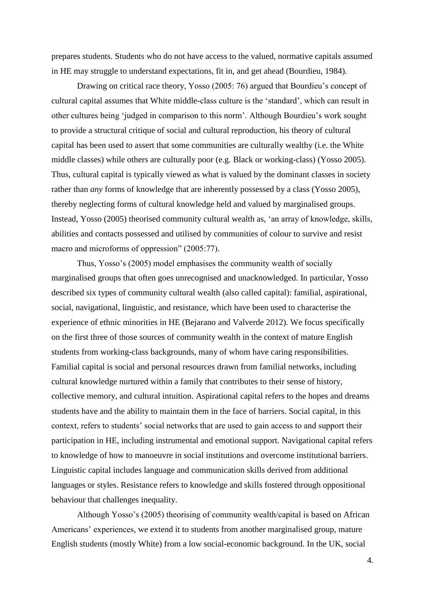prepares students. Students who do not have access to the valued, normative capitals assumed in HE may struggle to understand expectations, fit in, and get ahead (Bourdieu, 1984).

Drawing on critical race theory, Yosso (2005: 76) argued that Bourdieu's concept of cultural capital assumes that White middle-class culture is the 'standard', which can result in other cultures being 'judged in comparison to this norm'. Although Bourdieu's work sought to provide a structural critique of social and cultural reproduction, his theory of cultural capital has been used to assert that some communities are culturally wealthy (i.e. the White middle classes) while others are culturally poor (e.g. Black or working-class) (Yosso 2005). Thus, cultural capital is typically viewed as what is valued by the dominant classes in society rather than *any* forms of knowledge that are inherently possessed by a class (Yosso 2005), thereby neglecting forms of cultural knowledge held and valued by marginalised groups. Instead, Yosso (2005) theorised community cultural wealth as, 'an array of knowledge, skills, abilities and contacts possessed and utilised by communities of colour to survive and resist macro and microforms of oppression" (2005:77).

Thus, Yosso's (2005) model emphasises the community wealth of socially marginalised groups that often goes unrecognised and unacknowledged. In particular, Yosso described six types of community cultural wealth (also called capital): familial, aspirational, social, navigational, linguistic, and resistance, which have been used to characterise the experience of ethnic minorities in HE (Bejarano and Valverde 2012). We focus specifically on the first three of those sources of community wealth in the context of mature English students from working-class backgrounds, many of whom have caring responsibilities. Familial capital is social and personal resources drawn from familial networks, including cultural knowledge nurtured within a family that contributes to their sense of history, collective memory, and cultural intuition. Aspirational capital refers to the hopes and dreams students have and the ability to maintain them in the face of barriers. Social capital, in this context, refers to students' social networks that are used to gain access to and support their participation in HE, including instrumental and emotional support. Navigational capital refers to knowledge of how to manoeuvre in social institutions and overcome institutional barriers. Linguistic capital includes language and communication skills derived from additional languages or styles. Resistance refers to knowledge and skills fostered through oppositional behaviour that challenges inequality.

Although Yosso's (2005) theorising of community wealth/capital is based on African Americans' experiences, we extend it to students from another marginalised group, mature English students (mostly White) from a low social-economic background. In the UK, social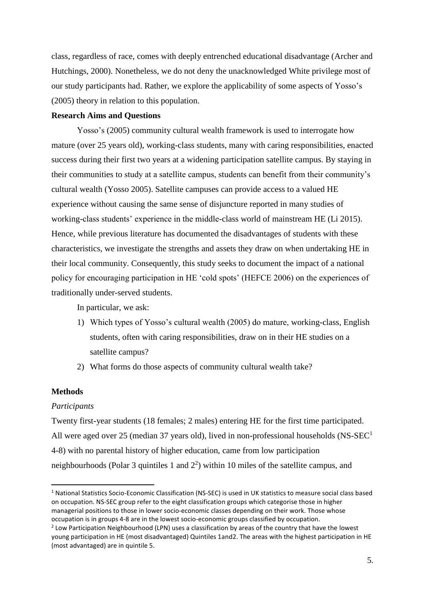class, regardless of race, comes with deeply entrenched educational disadvantage (Archer and Hutchings, 2000). Nonetheless, we do not deny the unacknowledged White privilege most of our study participants had. Rather, we explore the applicability of some aspects of Yosso's (2005) theory in relation to this population.

#### **Research Aims and Questions**

Yosso's (2005) community cultural wealth framework is used to interrogate how mature (over 25 years old), working-class students, many with caring responsibilities, enacted success during their first two years at a widening participation satellite campus. By staying in their communities to study at a satellite campus, students can benefit from their community's cultural wealth (Yosso 2005). Satellite campuses can provide access to a valued HE experience without causing the same sense of disjuncture reported in many studies of working-class students' experience in the middle-class world of mainstream HE (Li 2015). Hence, while previous literature has documented the disadvantages of students with these characteristics, we investigate the strengths and assets they draw on when undertaking HE in their local community. Consequently, this study seeks to document the impact of a national policy for encouraging participation in HE 'cold spots' (HEFCE 2006) on the experiences of traditionally under-served students.

In particular, we ask:

- 1) Which types of Yosso's cultural wealth (2005) do mature, working-class, English students, often with caring responsibilities, draw on in their HE studies on a satellite campus?
- 2) What forms do those aspects of community cultural wealth take?

#### **Methods**

**.** 

#### *Participants*

Twenty first-year students (18 females; 2 males) entering HE for the first time participated. All were aged over 25 (median 37 years old), lived in non-professional households (NS-SEC<sup>1</sup>) 4-8) with no parental history of higher education, came from low participation neighbourhoods (Polar 3 quintiles 1 and  $2^2$ ) within 10 miles of the satellite campus, and

<sup>&</sup>lt;sup>1</sup> National Statistics Socio-Economic Classification (NS-SEC) is used in UK statistics to measure social class based on occupation. NS-SEC group refer to the eight classification groups which categorise those in higher managerial positions to those in lower socio-economic classes depending on their work. Those whose occupation is in groups 4-8 are in the lowest socio-economic groups classified by occupation.

<sup>&</sup>lt;sup>2</sup> Low Participation Neighbourhood (LPN) uses a classification by areas of the country that have the lowest young participation in HE (most disadvantaged) Quintiles 1and2. The areas with the highest participation in HE (most advantaged) are in quintile 5.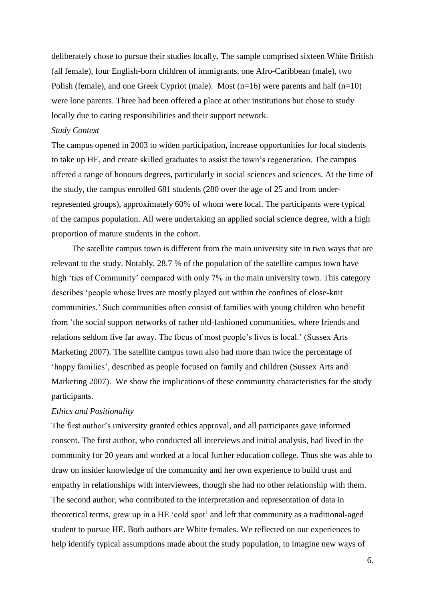deliberately chose to pursue their studies locally. The sample comprised sixteen White British (all female), four English-born children of immigrants, one Afro-Caribbean (male), two Polish (female), and one Greek Cypriot (male). Most  $(n=16)$  were parents and half  $(n=10)$ were lone parents. Three had been offered a place at other institutions but chose to study locally due to caring responsibilities and their support network.

#### *Study Context*

The campus opened in 2003 to widen participation, increase opportunities for local students to take up HE, and create skilled graduates to assist the town's regeneration. The campus offered a range of honours degrees, particularly in social sciences and sciences. At the time of the study, the campus enrolled 681 students (280 over the age of 25 and from underrepresented groups), approximately 60% of whom were local. The participants were typical of the campus population. All were undertaking an applied social science degree, with a high proportion of mature students in the cohort.

The satellite campus town is different from the main university site in two ways that are relevant to the study. Notably, 28.7 % of the population of the satellite campus town have high 'ties of Community' compared with only 7% in the main university town. This category describes 'people whose lives are mostly played out within the confines of close-knit communities.' Such communities often consist of families with young children who benefit from 'the social support networks of rather old-fashioned communities, where friends and relations seldom live far away. The focus of most people's lives is local.' (Sussex Arts Marketing 2007). The satellite campus town also had more than twice the percentage of 'happy families', described as people focused on family and children (Sussex Arts and Marketing 2007). We show the implications of these community characteristics for the study participants.

#### *Ethics and Positionality*

The first author's university granted ethics approval, and all participants gave informed consent. The first author, who conducted all interviews and initial analysis, had lived in the community for 20 years and worked at a local further education college. Thus she was able to draw on insider knowledge of the community and her own experience to build trust and empathy in relationships with interviewees, though she had no other relationship with them. The second author, who contributed to the interpretation and representation of data in theoretical terms, grew up in a HE 'cold spot' and left that community as a traditional-aged student to pursue HE. Both authors are White females. We reflected on our experiences to help identify typical assumptions made about the study population, to imagine new ways of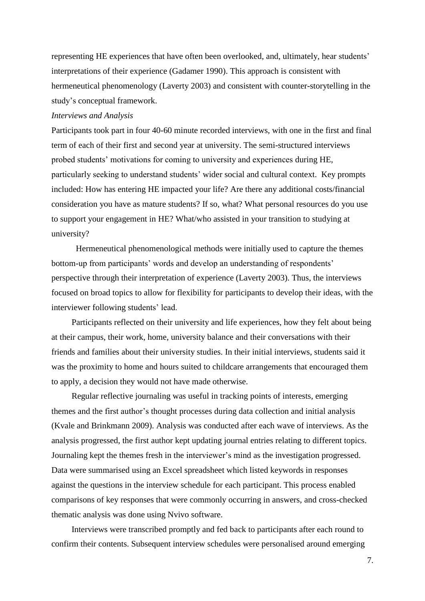representing HE experiences that have often been overlooked, and, ultimately, hear students' interpretations of their experience (Gadamer 1990). This approach is consistent with hermeneutical phenomenology (Laverty 2003) and consistent with counter-storytelling in the study's conceptual framework.

#### *Interviews and Analysis*

Participants took part in four 40-60 minute recorded interviews, with one in the first and final term of each of their first and second year at university. The semi-structured interviews probed students' motivations for coming to university and experiences during HE, particularly seeking to understand students' wider social and cultural context. Key prompts included: How has entering HE impacted your life? Are there any additional costs/financial consideration you have as mature students? If so, what? What personal resources do you use to support your engagement in HE? What/who assisted in your transition to studying at university?

 Hermeneutical phenomenological methods were initially used to capture the themes bottom-up from participants' words and develop an understanding of respondents' perspective through their interpretation of experience (Laverty 2003). Thus, the interviews focused on broad topics to allow for flexibility for participants to develop their ideas, with the interviewer following students' lead.

Participants reflected on their university and life experiences, how they felt about being at their campus, their work, home, university balance and their conversations with their friends and families about their university studies. In their initial interviews, students said it was the proximity to home and hours suited to childcare arrangements that encouraged them to apply, a decision they would not have made otherwise.

Regular reflective journaling was useful in tracking points of interests, emerging themes and the first author's thought processes during data collection and initial analysis (Kvale and Brinkmann 2009). Analysis was conducted after each wave of interviews. As the analysis progressed, the first author kept updating journal entries relating to different topics. Journaling kept the themes fresh in the interviewer's mind as the investigation progressed. Data were summarised using an Excel spreadsheet which listed keywords in responses against the questions in the interview schedule for each participant. This process enabled comparisons of key responses that were commonly occurring in answers, and cross-checked thematic analysis was done using Nvivo software.

Interviews were transcribed promptly and fed back to participants after each round to confirm their contents. Subsequent interview schedules were personalised around emerging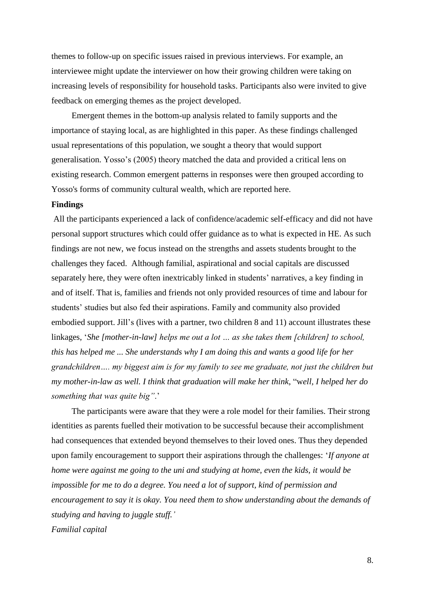themes to follow-up on specific issues raised in previous interviews. For example, an interviewee might update the interviewer on how their growing children were taking on increasing levels of responsibility for household tasks. Participants also were invited to give feedback on emerging themes as the project developed.

Emergent themes in the bottom-up analysis related to family supports and the importance of staying local, as are highlighted in this paper. As these findings challenged usual representations of this population, we sought a theory that would support generalisation. Yosso's (2005) theory matched the data and provided a critical lens on existing research. Common emergent patterns in responses were then grouped according to Yosso's forms of community cultural wealth, which are reported here.

#### **Findings**

All the participants experienced a lack of confidence/academic self-efficacy and did not have personal support structures which could offer guidance as to what is expected in HE. As such findings are not new, we focus instead on the strengths and assets students brought to the challenges they faced. Although familial, aspirational and social capitals are discussed separately here, they were often inextricably linked in students' narratives, a key finding in and of itself. That is, families and friends not only provided resources of time and labour for students' studies but also fed their aspirations. Family and community also provided embodied support. Jill's (lives with a partner, two children 8 and 11) account illustrates these linkages, '*She [mother-in-law] helps me out a lot … as she takes them [children] to school, this has helped me ... She understands why I am doing this and wants a good life for her grandchildren…. my biggest aim is for my family to see me graduate, not just the children but my mother-in-law as well. I think that graduation will make her think*, "w*ell, I helped her do something that was quite big"*.'

The participants were aware that they were a role model for their families. Their strong identities as parents fuelled their motivation to be successful because their accomplishment had consequences that extended beyond themselves to their loved ones. Thus they depended upon family encouragement to support their aspirations through the challenges: '*If anyone at home were against me going to the uni and studying at home, even the kids, it would be impossible for me to do a degree. You need a lot of support, kind of permission and encouragement to say it is okay. You need them to show understanding about the demands of studying and having to juggle stuff.' Familial capital*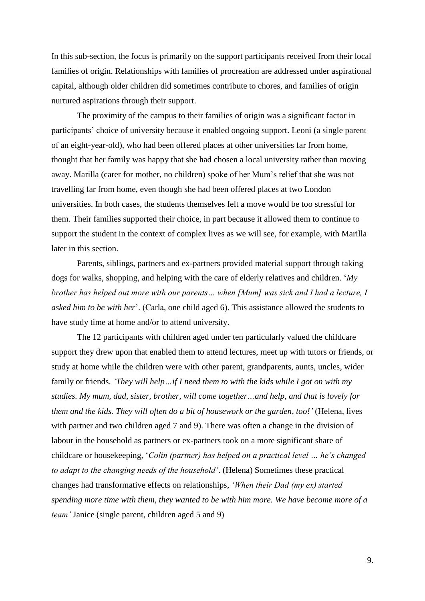In this sub-section, the focus is primarily on the support participants received from their local families of origin. Relationships with families of procreation are addressed under aspirational capital, although older children did sometimes contribute to chores, and families of origin nurtured aspirations through their support.

The proximity of the campus to their families of origin was a significant factor in participants' choice of university because it enabled ongoing support. Leoni (a single parent of an eight-year-old), who had been offered places at other universities far from home, thought that her family was happy that she had chosen a local university rather than moving away. Marilla (carer for mother, no children) spoke of her Mum's relief that she was not travelling far from home, even though she had been offered places at two London universities. In both cases, the students themselves felt a move would be too stressful for them. Their families supported their choice, in part because it allowed them to continue to support the student in the context of complex lives as we will see, for example, with Marilla later in this section.

Parents, siblings, partners and ex-partners provided material support through taking dogs for walks, shopping, and helping with the care of elderly relatives and children. '*My brother has helped out more with our parents… when [Mum] was sick and I had a lecture, I asked him to be with her*'. (Carla, one child aged 6). This assistance allowed the students to have study time at home and/or to attend university.

The 12 participants with children aged under ten particularly valued the childcare support they drew upon that enabled them to attend lectures, meet up with tutors or friends, or study at home while the children were with other parent, grandparents, aunts, uncles, wider family or friends. *'They will help…if I need them to with the kids while I got on with my studies. My mum, dad, sister, brother, will come together…and help, and that is lovely for them and the kids. They will often do a bit of housework or the garden, too!'* (Helena, lives with partner and two children aged 7 and 9). There was often a change in the division of labour in the household as partners or ex-partners took on a more significant share of childcare or housekeeping, '*Colin (partner) has helped on a practical level … he's changed to adapt to the changing needs of the household'*. (Helena) Sometimes these practical changes had transformative effects on relationships, *'When their Dad (my ex) started spending more time with them, they wanted to be with him more. We have become more of a team'* Janice (single parent, children aged 5 and 9)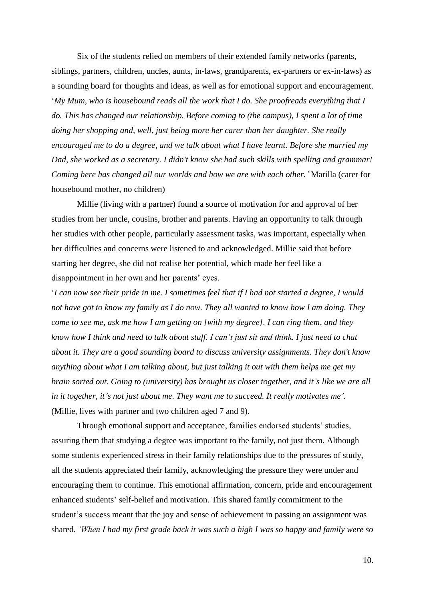Six of the students relied on members of their extended family networks (parents, siblings, partners, children, uncles, aunts, in-laws, grandparents, ex-partners or ex-in-laws) as a sounding board for thoughts and ideas, as well as for emotional support and encouragement. '*My Mum, who is housebound reads all the work that I do. She proofreads everything that I do. This has changed our relationship. Before coming to (the campus), I spent a lot of time doing her shopping and, well, just being more her carer than her daughter. She really encouraged me to do a degree, and we talk about what I have learnt. Before she married my Dad, she worked as a secretary. I didn't know she had such skills with spelling and grammar! Coming here has changed all our worlds and how we are with each other.'* Marilla (carer for housebound mother, no children)

Millie (living with a partner) found a source of motivation for and approval of her studies from her uncle, cousins, brother and parents. Having an opportunity to talk through her studies with other people, particularly assessment tasks, was important, especially when her difficulties and concerns were listened to and acknowledged. Millie said that before starting her degree, she did not realise her potential, which made her feel like a disappointment in her own and her parents' eyes.

'*I can now see their pride in me. I sometimes feel that if I had not started a degree, I would not have got to know my family as I do now. They all wanted to know how I am doing. They come to see me, ask me how I am getting on [with my degree]. I can ring them, and they know how I think and need to talk about stuff. I can't just sit and think. I just need to chat about it. They are a good sounding board to discuss university assignments. They don't know anything about what I am talking about, but just talking it out with them helps me get my brain sorted out. Going to (university) has brought us closer together, and it's like we are all in it together, it's not just about me. They want me to succeed. It really motivates me'*. (Millie, lives with partner and two children aged 7 and 9).

Through emotional support and acceptance, families endorsed students' studies, assuring them that studying a degree was important to the family, not just them. Although some students experienced stress in their family relationships due to the pressures of study, all the students appreciated their family, acknowledging the pressure they were under and encouraging them to continue. This emotional affirmation, concern, pride and encouragement enhanced students' self-belief and motivation. This shared family commitment to the student's success meant that the joy and sense of achievement in passing an assignment was shared. *'When I had my first grade back it was such a high I was so happy and family were so*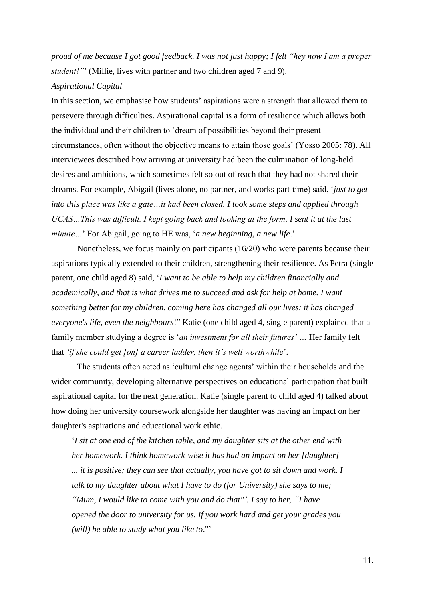*proud of me because I got good feedback. I was not just happy; I felt "hey now I am a proper student!*" (Millie, lives with partner and two children aged 7 and 9).

#### *Aspirational Capital*

In this section, we emphasise how students' aspirations were a strength that allowed them to persevere through difficulties. Aspirational capital is a form of resilience which allows both the individual and their children to 'dream of possibilities beyond their present circumstances, often without the objective means to attain those goals' (Yosso 2005: 78). All interviewees described how arriving at university had been the culmination of long-held desires and ambitions, which sometimes felt so out of reach that they had not shared their dreams. For example, Abigail (lives alone, no partner, and works part-time) said, '*just to get into this place was like a gate…it had been closed. I took some steps and applied through UCAS…This was difficult. I kept going back and looking at the form. I sent it at the last minute…*' For Abigail, going to HE was, '*a new beginning, a new life*.'

Nonetheless, we focus mainly on participants (16/20) who were parents because their aspirations typically extended to their children, strengthening their resilience. As Petra (single parent, one child aged 8) said, '*I want to be able to help my children financially and academically, and that is what drives me to succeed and ask for help at home. I want something better for my children, coming here has changed all our lives; it has changed everyone's life, even the neighbours*!" Katie (one child aged 4, single parent) explained that a family member studying a degree is '*an investment for all their futures' …* Her family felt that *'if she could get [on] a career ladder, then it's well worthwhile*'.

The students often acted as 'cultural change agents' within their households and the wider community, developing alternative perspectives on educational participation that built aspirational capital for the next generation. Katie (single parent to child aged 4) talked about how doing her university coursework alongside her daughter was having an impact on her daughter's aspirations and educational work ethic.

'*I sit at one end of the kitchen table, and my daughter sits at the other end with her homework. I think homework-wise it has had an impact on her [daughter] ... it is positive; they can see that actually, you have got to sit down and work. I talk to my daughter about what I have to do (for University) she says to me; "Mum, I would like to come with you and do that"'. I say to her, "I have opened the door to university for us. If you work hard and get your grades you (will) be able to study what you like to*."'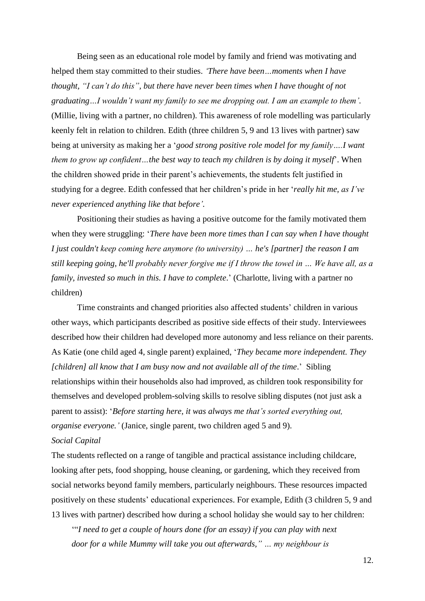Being seen as an educational role model by family and friend was motivating and helped them stay committed to their studies. *'There have been…moments when I have thought, "I can't do this", but there have never been times when I have thought of not graduating…I wouldn't want my family to see me dropping out. I am an example to them'.*  (Millie, living with a partner, no children). This awareness of role modelling was particularly keenly felt in relation to children. Edith (three children 5, 9 and 13 lives with partner) saw being at university as making her a '*good strong positive role model for my family….I want them to grow up confident…the best way to teach my children is by doing it myself*'. When the children showed pride in their parent's achievements, the students felt justified in studying for a degree. Edith confessed that her children's pride in her '*really hit me, as I've never experienced anything like that before'.*

Positioning their studies as having a positive outcome for the family motivated them when they were struggling: '*There have been more times than I can say when I have thought I just couldn't keep coming here anymore (to university) … he's [partner] the reason I am still keeping going, he'll probably never forgive me if I throw the towel in … We have all, as a family, invested so much in this. I have to complete*.' (Charlotte, living with a partner no children)

Time constraints and changed priorities also affected students' children in various other ways, which participants described as positive side effects of their study. Interviewees described how their children had developed more autonomy and less reliance on their parents. As Katie (one child aged 4, single parent) explained, '*They became more independent. They [children] all know that I am busy now and not available all of the time*.' Sibling relationships within their households also had improved, as children took responsibility for themselves and developed problem-solving skills to resolve sibling disputes (not just ask a parent to assist): '*Before starting here, it was always me that's sorted everything out, organise everyone.'* (Janice, single parent, two children aged 5 and 9). *Social Capital* 

The students reflected on a range of tangible and practical assistance including childcare, looking after pets, food shopping, house cleaning, or gardening, which they received from social networks beyond family members, particularly neighbours. These resources impacted positively on these students' educational experiences. For example, Edith (3 children 5, 9 and 13 lives with partner) described how during a school holiday she would say to her children:

'"*I need to get a couple of hours done (for an essay) if you can play with next door for a while Mummy will take you out afterwards," … my neighbour is*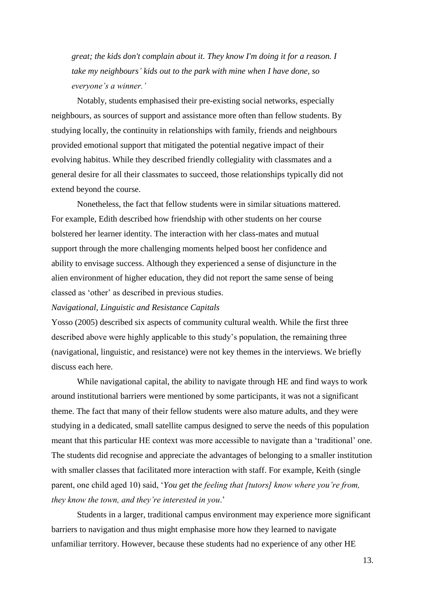*great; the kids don't complain about it. They know I'm doing it for a reason. I take my neighbours' kids out to the park with mine when I have done, so everyone's a winner.'* 

Notably, students emphasised their pre-existing social networks, especially neighbours, as sources of support and assistance more often than fellow students. By studying locally, the continuity in relationships with family, friends and neighbours provided emotional support that mitigated the potential negative impact of their evolving habitus. While they described friendly collegiality with classmates and a general desire for all their classmates to succeed, those relationships typically did not extend beyond the course.

Nonetheless, the fact that fellow students were in similar situations mattered. For example, Edith described how friendship with other students on her course bolstered her learner identity. The interaction with her class-mates and mutual support through the more challenging moments helped boost her confidence and ability to envisage success. Although they experienced a sense of disjuncture in the alien environment of higher education, they did not report the same sense of being classed as 'other' as described in previous studies.

#### *Navigational, Linguistic and Resistance Capitals*

Yosso (2005) described six aspects of community cultural wealth. While the first three described above were highly applicable to this study's population, the remaining three (navigational, linguistic, and resistance) were not key themes in the interviews. We briefly discuss each here.

While navigational capital, the ability to navigate through HE and find ways to work around institutional barriers were mentioned by some participants, it was not a significant theme. The fact that many of their fellow students were also mature adults, and they were studying in a dedicated, small satellite campus designed to serve the needs of this population meant that this particular HE context was more accessible to navigate than a 'traditional' one. The students did recognise and appreciate the advantages of belonging to a smaller institution with smaller classes that facilitated more interaction with staff. For example, Keith (single parent, one child aged 10) said, '*You get the feeling that [tutors] know where you're from, they know the town, and they're interested in you*.'

Students in a larger, traditional campus environment may experience more significant barriers to navigation and thus might emphasise more how they learned to navigate unfamiliar territory. However, because these students had no experience of any other HE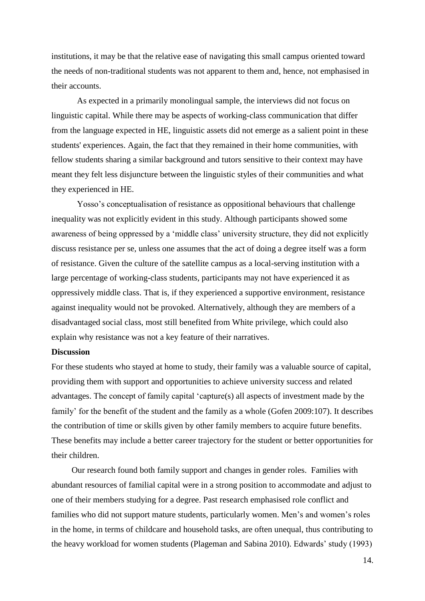institutions, it may be that the relative ease of navigating this small campus oriented toward the needs of non-traditional students was not apparent to them and, hence, not emphasised in their accounts.

As expected in a primarily monolingual sample, the interviews did not focus on linguistic capital. While there may be aspects of working-class communication that differ from the language expected in HE, linguistic assets did not emerge as a salient point in these students' experiences. Again, the fact that they remained in their home communities, with fellow students sharing a similar background and tutors sensitive to their context may have meant they felt less disjuncture between the linguistic styles of their communities and what they experienced in HE.

Yosso's conceptualisation of resistance as oppositional behaviours that challenge inequality was not explicitly evident in this study. Although participants showed some awareness of being oppressed by a 'middle class' university structure, they did not explicitly discuss resistance per se, unless one assumes that the act of doing a degree itself was a form of resistance. Given the culture of the satellite campus as a local-serving institution with a large percentage of working-class students, participants may not have experienced it as oppressively middle class. That is, if they experienced a supportive environment, resistance against inequality would not be provoked. Alternatively, although they are members of a disadvantaged social class, most still benefited from White privilege, which could also explain why resistance was not a key feature of their narratives.

#### **Discussion**

For these students who stayed at home to study, their family was a valuable source of capital, providing them with support and opportunities to achieve university success and related advantages. The concept of family capital 'capture(s) all aspects of investment made by the family' for the benefit of the student and the family as a whole (Gofen 2009:107). It describes the contribution of time or skills given by other family members to acquire future benefits. These benefits may include a better career trajectory for the student or better opportunities for their children.

Our research found both family support and changes in gender roles. Families with abundant resources of familial capital were in a strong position to accommodate and adjust to one of their members studying for a degree. Past research emphasised role conflict and families who did not support mature students, particularly women. Men's and women's roles in the home, in terms of childcare and household tasks, are often unequal, thus contributing to the heavy workload for women students (Plageman and Sabina 2010). Edwards' study (1993)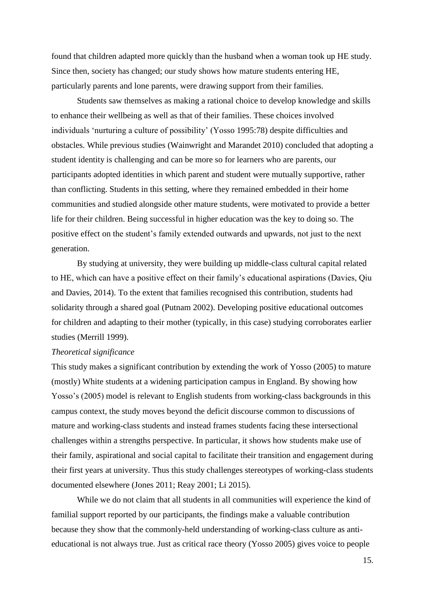found that children adapted more quickly than the husband when a woman took up HE study. Since then, society has changed; our study shows how mature students entering HE, particularly parents and lone parents, were drawing support from their families.

Students saw themselves as making a rational choice to develop knowledge and skills to enhance their wellbeing as well as that of their families. These choices involved individuals 'nurturing a culture of possibility' (Yosso 1995:78) despite difficulties and obstacles. While previous studies (Wainwright and Marandet 2010) concluded that adopting a student identity is challenging and can be more so for learners who are parents, our participants adopted identities in which parent and student were mutually supportive, rather than conflicting. Students in this setting, where they remained embedded in their home communities and studied alongside other mature students, were motivated to provide a better life for their children. Being successful in higher education was the key to doing so. The positive effect on the student's family extended outwards and upwards, not just to the next generation.

By studying at university, they were building up middle-class cultural capital related to HE, which can have a positive effect on their family's educational aspirations (Davies, Qiu and Davies, 2014). To the extent that families recognised this contribution, students had solidarity through a shared goal (Putnam 2002). Developing positive educational outcomes for children and adapting to their mother (typically, in this case) studying corroborates earlier studies (Merrill 1999).

#### *Theoretical significance*

This study makes a significant contribution by extending the work of Yosso (2005) to mature (mostly) White students at a widening participation campus in England. By showing how Yosso's (2005) model is relevant to English students from working-class backgrounds in this campus context, the study moves beyond the deficit discourse common to discussions of mature and working-class students and instead frames students facing these intersectional challenges within a strengths perspective. In particular, it shows how students make use of their family, aspirational and social capital to facilitate their transition and engagement during their first years at university. Thus this study challenges stereotypes of working-class students documented elsewhere (Jones 2011; Reay 2001; Li 2015).

While we do not claim that all students in all communities will experience the kind of familial support reported by our participants, the findings make a valuable contribution because they show that the commonly-held understanding of working-class culture as antieducational is not always true. Just as critical race theory (Yosso 2005) gives voice to people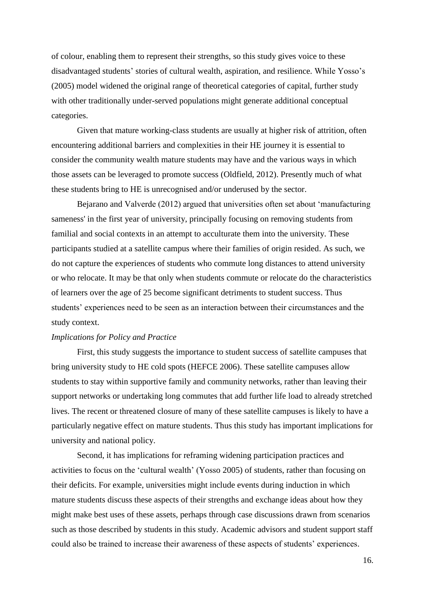of colour, enabling them to represent their strengths, so this study gives voice to these disadvantaged students' stories of cultural wealth, aspiration, and resilience. While Yosso's (2005) model widened the original range of theoretical categories of capital, further study with other traditionally under-served populations might generate additional conceptual categories.

Given that mature working-class students are usually at higher risk of attrition, often encountering additional barriers and complexities in their HE journey it is essential to consider the community wealth mature students may have and the various ways in which those assets can be leveraged to promote success (Oldfield, 2012). Presently much of what these students bring to HE is unrecognised and/or underused by the sector.

Bejarano and Valverde (2012) argued that universities often set about 'manufacturing sameness' in the first year of university, principally focusing on removing students from familial and social contexts in an attempt to acculturate them into the university. These participants studied at a satellite campus where their families of origin resided. As such, we do not capture the experiences of students who commute long distances to attend university or who relocate. It may be that only when students commute or relocate do the characteristics of learners over the age of 25 become significant detriments to student success. Thus students' experiences need to be seen as an interaction between their circumstances and the study context.

#### *Implications for Policy and Practice*

First, this study suggests the importance to student success of satellite campuses that bring university study to HE cold spots (HEFCE 2006). These satellite campuses allow students to stay within supportive family and community networks, rather than leaving their support networks or undertaking long commutes that add further life load to already stretched lives. The recent or threatened closure of many of these satellite campuses is likely to have a particularly negative effect on mature students. Thus this study has important implications for university and national policy.

Second, it has implications for reframing widening participation practices and activities to focus on the 'cultural wealth' (Yosso 2005) of students, rather than focusing on their deficits. For example, universities might include events during induction in which mature students discuss these aspects of their strengths and exchange ideas about how they might make best uses of these assets, perhaps through case discussions drawn from scenarios such as those described by students in this study. Academic advisors and student support staff could also be trained to increase their awareness of these aspects of students' experiences.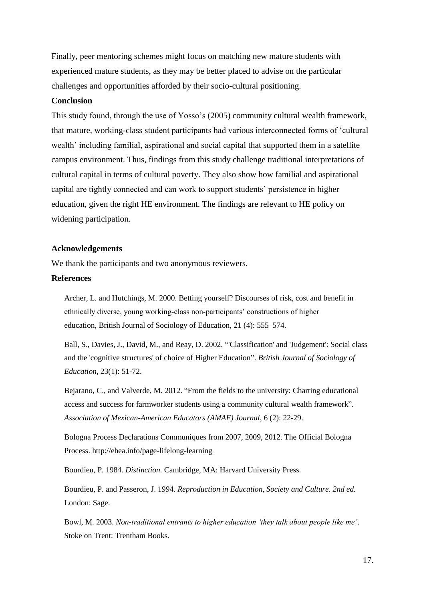Finally, peer mentoring schemes might focus on matching new mature students with experienced mature students, as they may be better placed to advise on the particular challenges and opportunities afforded by their socio-cultural positioning.

#### **Conclusion**

This study found, through the use of Yosso's (2005) community cultural wealth framework, that mature, working-class student participants had various interconnected forms of 'cultural wealth' including familial, aspirational and social capital that supported them in a satellite campus environment. Thus, findings from this study challenge traditional interpretations of cultural capital in terms of cultural poverty. They also show how familial and aspirational capital are tightly connected and can work to support students' persistence in higher education, given the right HE environment. The findings are relevant to HE policy on widening participation.

#### **Acknowledgements**

We thank the participants and two anonymous reviewers.

#### **References**

Archer, L. and Hutchings, M. 2000. Betting yourself? Discourses of risk, cost and benefit in ethnically diverse, young working‐class non‐participants' constructions of higher education, British Journal of Sociology of Education, 21 (4): 555–574.

Ball, S., Davies, J., David, M., and Reay, D. 2002. "'Classification' and 'Judgement': Social class and the 'cognitive structures' of choice of Higher Education". *British Journal of Sociology of Education,* 23(1): 51-72.

Bejarano, C., and Valverde, M. 2012. "From the fields to the university: Charting educational access and success for farmworker students using a community cultural wealth framework". *Association of Mexican-American Educators (AMAE) Journal*, 6 (2): 22-29.

Bologna Process Declarations Communiques from 2007, 2009, 2012. The Official Bologna Process. <http://ehea.info/page-lifelong-learning>

Bourdieu, P. 1984. *Distinction.* Cambridge, MA: Harvard University Press.

Bourdieu, P. and Passeron, J. 1994. *Reproduction in Education, Society and Culture. 2nd ed.* London: Sage.

Bowl, M. 2003. *Non-traditional entrants to higher education 'they talk about people like me'*. Stoke on Trent: Trentham Books.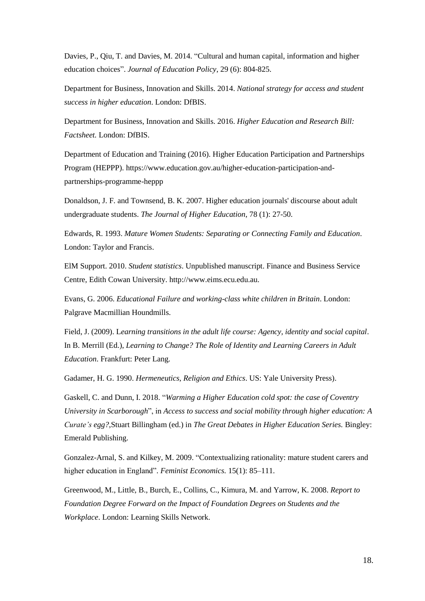Davies, P., Qiu, T. and Davies, M. 2014. "Cultural and human capital, information and higher education choices". *Journal of Education Policy*, 29 (6): 804-825.

Department for Business, Innovation and Skills. 2014. *National strategy for access and student success in higher education*. London: DfBIS.

Department for Business, Innovation and Skills. 2016. *Higher Education and Research Bill: Factsheet.* London: DfBIS.

Department of Education and Training (2016). Higher Education Participation and Partnerships Program (HEPPP). [https://www.education.gov.au/higher-education-participation-and](https://www.education.gov.au/higher-education-participation-and-partnerships-programme-heppp)[partnerships-programme-heppp](https://www.education.gov.au/higher-education-participation-and-partnerships-programme-heppp)

Donaldson, J. F. and Townsend, B. K. 2007. Higher education journals' discourse about adult undergraduate students. *The Journal of Higher Education*, 78 (1): 27-50.

Edwards, R. 1993. *Mature Women Students: Separating or Connecting Family and Education*. London: Taylor and Francis.

ElM Support. 2010. *Student statistics*. Unpublished manuscript. Finance and Business Service Centre, Edith Cowan University. http://www.eims.ecu.edu.au.

Evans, G. 2006. *Educational Failure and working-class white children in Britain*. London: Palgrave Macmillian Houndmills.

Field, J. (2009). L*earning transitions in the adult life course: Agency, identity and social capital*. In B. Merrill (Ed.), *Learning to Change? The Role of Identity and Learning Careers in Adult Education*. Frankfurt: Peter Lang.

Gadamer, H. G. 1990. *Hermeneutics, Religion and Ethics*. US: Yale University Press).

Gaskell, C. and Dunn, I. 2018. "*Warming a Higher Education cold spot: the case of Coventry University in Scarborough*", in *Access to success and social mobility through higher education: A Curate's egg?*,Stuart Billingham (ed.) in *The Great Debates in Higher Education Series.* Bingley: Emerald Publishing.

Gonzalez-Arnal, S. and Kilkey, M. 2009. "Contextualizing rationality: mature student carers and higher education in England". *Feminist Economics.* 15(1): 85–111.

Greenwood, M., Little, B., Burch, E., Collins, C., Kimura, M. and Yarrow, K. 2008. *Report to Foundation Degree Forward on the Impact of Foundation Degrees on Students and the Workplace*. London: Learning Skills Network.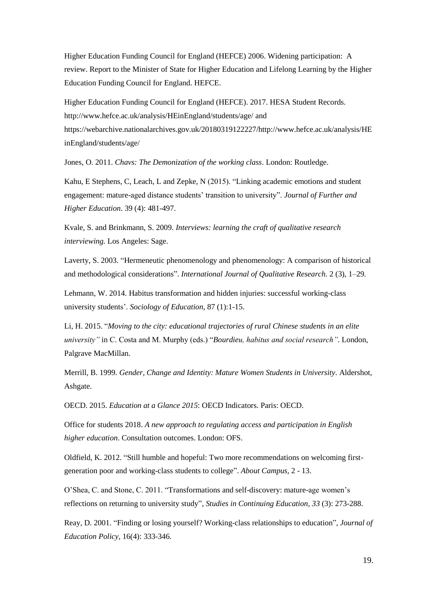Higher Education Funding Council for England (HEFCE) 2006. Widening participation: A review. Report to the Minister of State for Higher Education and Lifelong Learning by the Higher Education Funding Council for England. HEFCE.

Higher Education Funding Council for England (HEFCE). 2017. HESA Student Records. <http://www.hefce.ac.uk/analysis/HEinEngland/students/age/> and [https://webarchive.nationalarchives.gov.uk/20180319122227/http://www.hefce.ac.uk/analysis/HE](https://webarchive.nationalarchives.gov.uk/20180319122227/http:/www.hefce.ac.uk/analysis/HEinEngland/students/age/) [inEngland/students/age/](https://webarchive.nationalarchives.gov.uk/20180319122227/http:/www.hefce.ac.uk/analysis/HEinEngland/students/age/)

Jones, O. 2011. *Chavs: The Demonization of the working class*. London: Routledge.

Kahu, E Stephens, C, Leach, L and Zepke, N (2015). "Linking academic emotions and student engagement: mature-aged distance students' transition to university". *Journal of Further and Higher Education*. 39 (4): 481-497.

Kvale, S. and Brinkmann, S. 2009. *Interviews: learning the craft of qualitative research interviewing.* Los Angeles: Sage.

Laverty, S. 2003. "Hermeneutic phenomenology and phenomenology: A comparison of historical and methodological considerations". *International Journal of Qualitative Research.* 2 (3), 1–29.

Lehmann, W. 2014. Habitus transformation and hidden injuries: successful working-class university students'. *Sociology of Education*, 87 (1):1-15.

Li, H. 2015. "*Moving to the city: educational trajectories of rural Chinese students in an elite university"* in C. Costa and M. Murphy (eds.) "*Bourdieu, habitus and social research"*. London, Palgrave MacMillan.

Merrill, B. 1999*. Gender, Change and Identity: Mature Women Students in University*. Aldershot, Ashgate.

OECD. 2015. *Education at a Glance 2015*: OECD Indicators. Paris: OECD.

Office for students 2018. *A new approach to regulating access and participation in English higher education*. Consultation outcomes. London: OFS.

Oldfield, K. 2012. "Still humble and hopeful: Two more recommendations on welcoming firstgeneration poor and working-class students to college". *About Campus,* 2 - 13.

O'Shea, C. and Stone, C. 2011. "Transformations and self-discovery: mature-age women's reflections on returning to university study", *Studies in Continuing Education, 33* (3): 273-288.

Reay, D. 2001. "Finding or losing yourself? Working-class relationships to education", *Journal of Education Policy*, 16(4): 333-346.